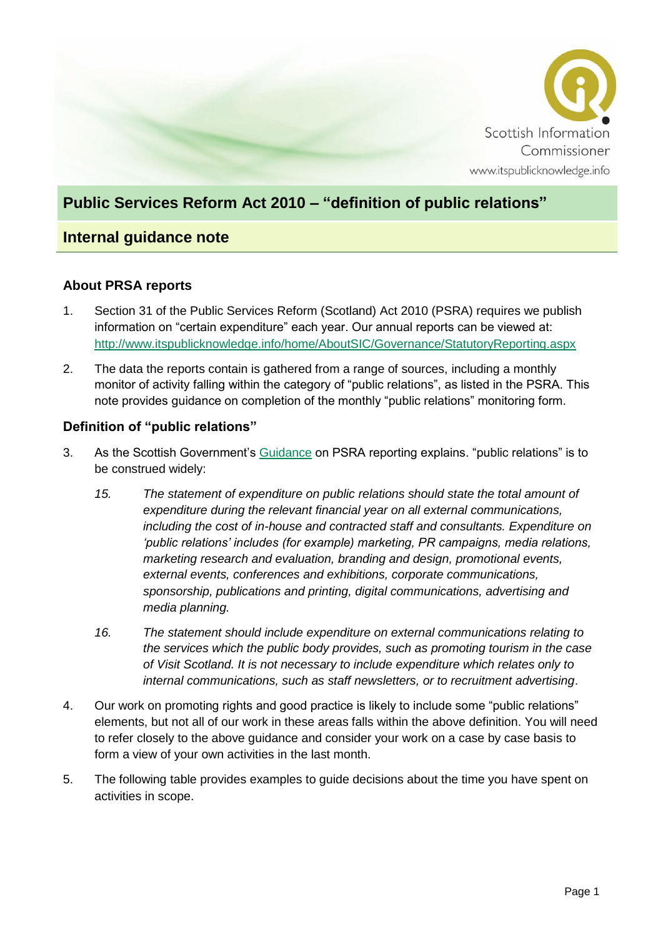

## **Public Services Reform Act 2010 – "definition of public relations"**

### **Internal guidance note**

### **About PRSA reports**

- 1. Section 31 of the Public Services Reform (Scotland) Act 2010 (PSRA) requires we publish information on "certain expenditure" each year. Our annual reports can be viewed at: <http://www.itspublicknowledge.info/home/AboutSIC/Governance/StatutoryReporting.aspx>
- 2. The data the reports contain is gathered from a range of sources, including a monthly monitor of activity falling within the category of "public relations", as listed in the PSRA. This note provides guidance on completion of the monthly "public relations" monitoring form.

#### **Definition of "public relations"**

- 3. As the Scottish Government's [Guidance](http://www.gov.scot/Topics/Government/public-bodies/pubs/Guidance) on PSRA reporting explains. "public relations" is to be construed widely:
	- *15. The statement of expenditure on public relations should state the total amount of expenditure during the relevant financial year on all external communications, including the cost of in-house and contracted staff and consultants. Expenditure on 'public relations' includes (for example) marketing, PR campaigns, media relations, marketing research and evaluation, branding and design, promotional events, external events, conferences and exhibitions, corporate communications, sponsorship, publications and printing, digital communications, advertising and media planning.*
	- *16. The statement should include expenditure on external communications relating to the services which the public body provides, such as promoting tourism in the case of Visit Scotland. It is not necessary to include expenditure which relates only to internal communications, such as staff newsletters, or to recruitment advertising*.
- 4. Our work on promoting rights and good practice is likely to include some "public relations" elements, but not all of our work in these areas falls within the above definition. You will need to refer closely to the above guidance and consider your work on a case by case basis to form a view of your own activities in the last month.
- 5. The following table provides examples to guide decisions about the time you have spent on activities in scope.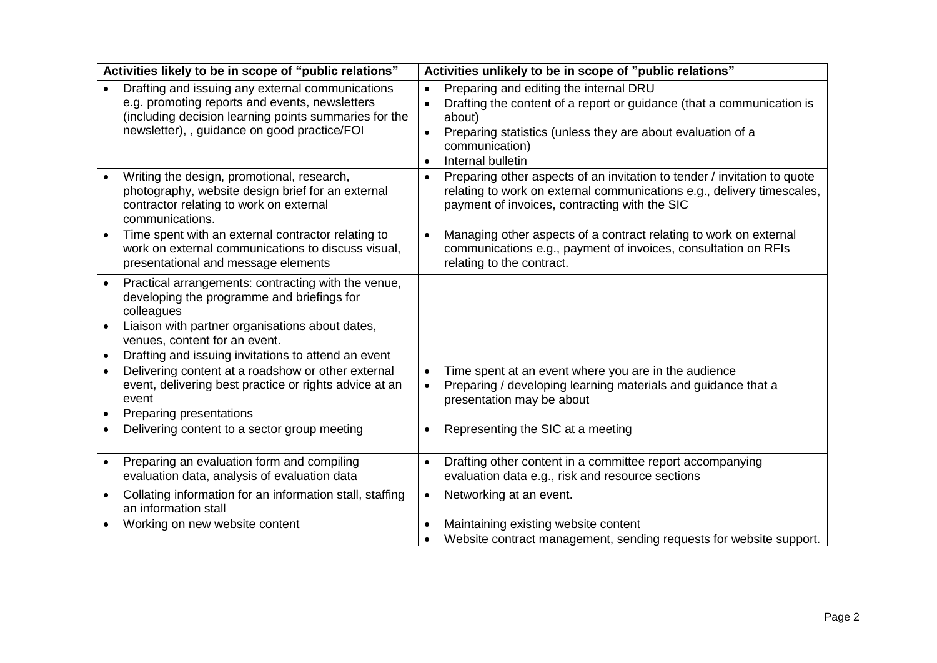| Activities likely to be in scope of "public relations"                                                                                                                                                                                                                  | Activities unlikely to be in scope of "public relations"                                                                                                                                                                                     |
|-------------------------------------------------------------------------------------------------------------------------------------------------------------------------------------------------------------------------------------------------------------------------|----------------------------------------------------------------------------------------------------------------------------------------------------------------------------------------------------------------------------------------------|
| Drafting and issuing any external communications<br>e.g. promoting reports and events, newsletters<br>(including decision learning points summaries for the<br>newsletter), , guidance on good practice/FOI                                                             | Preparing and editing the internal DRU<br>Drafting the content of a report or guidance (that a communication is<br>about)<br>Preparing statistics (unless they are about evaluation of a<br>communication)<br>Internal bulletin<br>$\bullet$ |
| Writing the design, promotional, research,<br>photography, website design brief for an external<br>contractor relating to work on external<br>communications.                                                                                                           | Preparing other aspects of an invitation to tender / invitation to quote<br>$\bullet$<br>relating to work on external communications e.g., delivery timescales,<br>payment of invoices, contracting with the SIC                             |
| Time spent with an external contractor relating to<br>work on external communications to discuss visual,<br>presentational and message elements                                                                                                                         | Managing other aspects of a contract relating to work on external<br>$\bullet$<br>communications e.g., payment of invoices, consultation on RFIs<br>relating to the contract.                                                                |
| Practical arrangements: contracting with the venue,<br>$\bullet$<br>developing the programme and briefings for<br>colleagues<br>Liaison with partner organisations about dates,<br>venues, content for an event.<br>Drafting and issuing invitations to attend an event |                                                                                                                                                                                                                                              |
| Delivering content at a roadshow or other external<br>$\bullet$<br>event, delivering best practice or rights advice at an<br>event<br>Preparing presentations                                                                                                           | Time spent at an event where you are in the audience<br>$\bullet$<br>Preparing / developing learning materials and guidance that a<br>$\bullet$<br>presentation may be about                                                                 |
| Delivering content to a sector group meeting                                                                                                                                                                                                                            | Representing the SIC at a meeting<br>$\bullet$                                                                                                                                                                                               |
| Preparing an evaluation form and compiling<br>$\bullet$<br>evaluation data, analysis of evaluation data                                                                                                                                                                 | Drafting other content in a committee report accompanying<br>$\bullet$<br>evaluation data e.g., risk and resource sections                                                                                                                   |
| Collating information for an information stall, staffing<br>an information stall                                                                                                                                                                                        | Networking at an event.<br>$\bullet$                                                                                                                                                                                                         |
| Working on new website content                                                                                                                                                                                                                                          | Maintaining existing website content<br>Website contract management, sending requests for website support.                                                                                                                                   |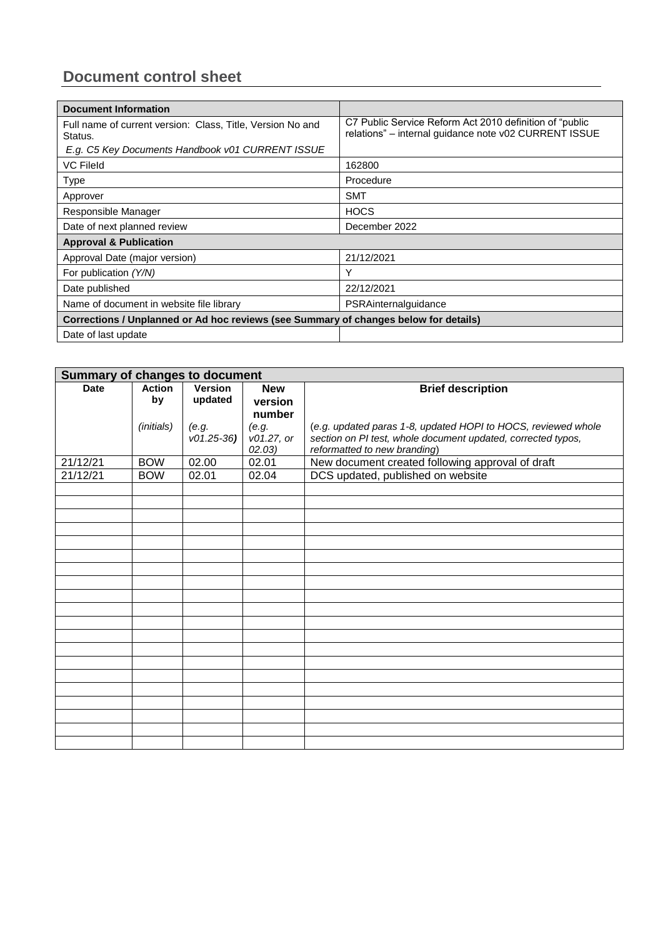# **Document control sheet**

| <b>Document Information</b>                                                          |                                                                                                                   |  |  |  |
|--------------------------------------------------------------------------------------|-------------------------------------------------------------------------------------------------------------------|--|--|--|
| Full name of current version: Class, Title, Version No and<br>Status.                | C7 Public Service Reform Act 2010 definition of "public"<br>relations" - internal guidance note v02 CURRENT ISSUE |  |  |  |
| E.g. C5 Key Documents Handbook v01 CURRENT ISSUE                                     |                                                                                                                   |  |  |  |
| <b>VC Fileld</b>                                                                     | 162800                                                                                                            |  |  |  |
| <b>Type</b>                                                                          | Procedure                                                                                                         |  |  |  |
| Approver                                                                             | <b>SMT</b>                                                                                                        |  |  |  |
| Responsible Manager                                                                  | <b>HOCS</b>                                                                                                       |  |  |  |
| Date of next planned review                                                          | December 2022                                                                                                     |  |  |  |
| <b>Approval &amp; Publication</b>                                                    |                                                                                                                   |  |  |  |
| Approval Date (major version)                                                        | 21/12/2021                                                                                                        |  |  |  |
| For publication (Y/N)                                                                | Υ                                                                                                                 |  |  |  |
| Date published                                                                       | 22/12/2021                                                                                                        |  |  |  |
| Name of document in website file library                                             | PSRAinternalguidance                                                                                              |  |  |  |
| Corrections / Unplanned or Ad hoc reviews (see Summary of changes below for details) |                                                                                                                   |  |  |  |
| Date of last update                                                                  |                                                                                                                   |  |  |  |

| <b>Summary of changes to document</b> |                     |                      |                                         |                                                                                                                                                               |
|---------------------------------------|---------------------|----------------------|-----------------------------------------|---------------------------------------------------------------------------------------------------------------------------------------------------------------|
| <b>Date</b>                           | <b>Action</b><br>by | Version<br>updated   | <b>New</b><br>version                   | <b>Brief description</b>                                                                                                                                      |
|                                       | (initials)          | (e.g.<br>$v01.25-36$ | number<br>(e.g.<br>v01.27, or<br>02.03) | (e.g. updated paras 1-8, updated HOPI to HOCS, reviewed whole<br>section on PI test, whole document updated, corrected typos,<br>reformatted to new branding) |
| 21/12/21                              | <b>BOW</b>          | 02.00                | 02.01                                   | New document created following approval of draft                                                                                                              |
| 21/12/21                              | <b>BOW</b>          | 02.01                | 02.04                                   | DCS updated, published on website                                                                                                                             |
|                                       |                     |                      |                                         |                                                                                                                                                               |
|                                       |                     |                      |                                         |                                                                                                                                                               |
|                                       |                     |                      |                                         |                                                                                                                                                               |
|                                       |                     |                      |                                         |                                                                                                                                                               |
|                                       |                     |                      |                                         |                                                                                                                                                               |
|                                       |                     |                      |                                         |                                                                                                                                                               |
|                                       |                     |                      |                                         |                                                                                                                                                               |
|                                       |                     |                      |                                         |                                                                                                                                                               |
|                                       |                     |                      |                                         |                                                                                                                                                               |
|                                       |                     |                      |                                         |                                                                                                                                                               |
|                                       |                     |                      |                                         |                                                                                                                                                               |
|                                       |                     |                      |                                         |                                                                                                                                                               |
|                                       |                     |                      |                                         |                                                                                                                                                               |
|                                       |                     |                      |                                         |                                                                                                                                                               |
|                                       |                     |                      |                                         |                                                                                                                                                               |
|                                       |                     |                      |                                         |                                                                                                                                                               |
|                                       |                     |                      |                                         |                                                                                                                                                               |
|                                       |                     |                      |                                         |                                                                                                                                                               |
|                                       |                     |                      |                                         |                                                                                                                                                               |
|                                       |                     |                      |                                         |                                                                                                                                                               |